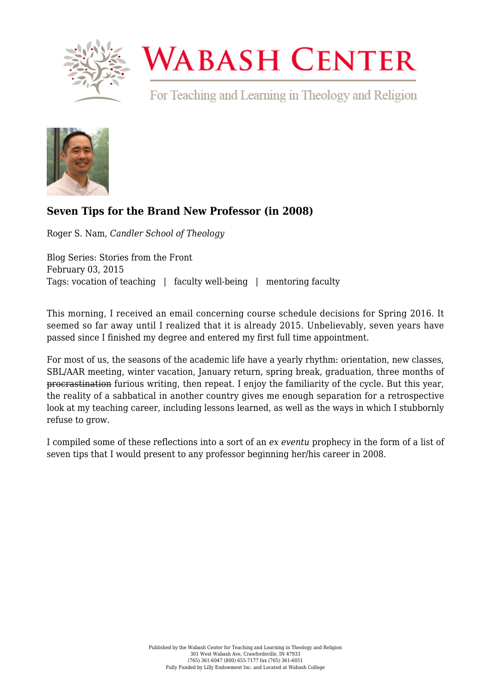

## **WABASH CENTER**

For Teaching and Learning in Theology and Religion



## **[Seven Tips for the Brand New Professor \(in 2008\)](https://www.wabashcenter.wabash.edu/2015/02/seven-tips-for-the-brand-new-professor-in-2008/)**

Roger S. Nam, *Candler School of Theology*

Blog Series: Stories from the Front February 03, 2015 Tags: vocation of teaching | faculty well-being | mentoring faculty

This morning, I received an email concerning course schedule decisions for Spring 2016. It seemed so far away until I realized that it is already 2015. Unbelievably, seven years have passed since I finished my degree and entered my first full time appointment.

For most of us, the seasons of the academic life have a yearly rhythm: orientation, new classes, SBL/AAR meeting, winter vacation, January return, spring break, graduation, three months of procrastination furious writing, then repeat. I enjoy the familiarity of the cycle. But this year, the reality of a sabbatical in another country gives me enough separation for a retrospective look at my teaching career, including lessons learned, as well as the ways in which I stubbornly refuse to grow.

I compiled some of these reflections into a sort of an *ex eventu* prophecy in the form of a list of seven tips that I would present to any professor beginning her/his career in 2008.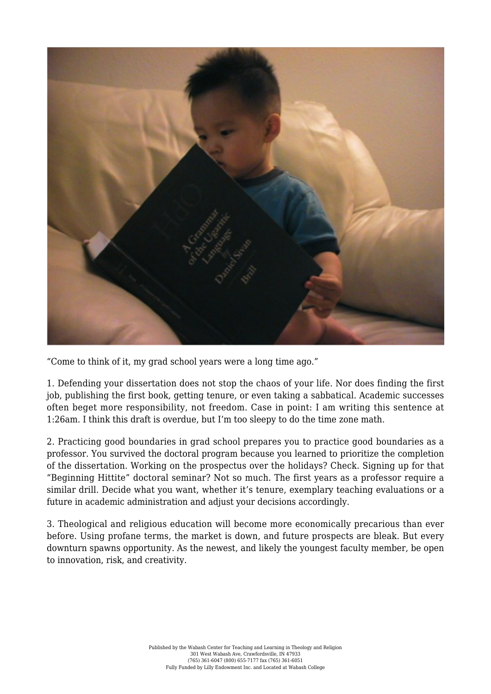

"Come to think of it, my grad school years were a long time ago."

1. Defending your dissertation does not stop the chaos of your life. Nor does finding the first job, publishing the first book, getting tenure, or even taking a sabbatical. Academic successes often beget more responsibility, not freedom. Case in point: I am writing this sentence at 1:26am. I think this draft is overdue, but I'm too sleepy to do the time zone math.

2. Practicing good boundaries in grad school prepares you to practice good boundaries as a professor. You survived the doctoral program because you learned to prioritize the completion of the dissertation. Working on the prospectus over the holidays? Check. Signing up for that "Beginning Hittite" doctoral seminar? Not so much. The first years as a professor require a similar drill. Decide what you want, whether it's tenure, exemplary teaching evaluations or a future in academic administration and adjust your decisions accordingly.

3. Theological and religious education will become more economically precarious than ever before. Using profane terms, the market is down, and future prospects are bleak. But every downturn spawns opportunity. As the newest, and likely the youngest faculty member, be open to innovation, risk, and creativity.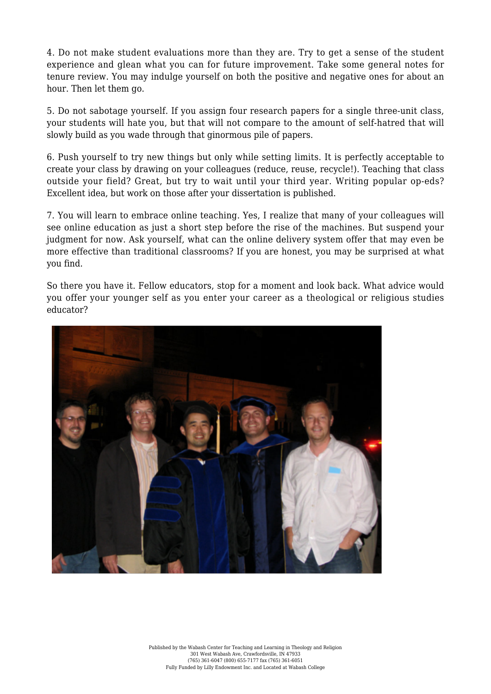4. Do not make student evaluations more than they are. Try to get a sense of the student experience and glean what you can for future improvement. Take some general notes for tenure review. You may indulge yourself on both the positive and negative ones for about an hour. Then let them go.

5. Do not sabotage yourself. If you assign four research papers for a single three-unit class, your students will hate you, but that will not compare to the amount of self-hatred that will slowly build as you wade through that ginormous pile of papers.

6. Push yourself to try new things but only while setting limits. It is perfectly acceptable to create your class by drawing on your colleagues (reduce, reuse, recycle!). Teaching that class outside your field? Great, but try to wait until your third year. Writing popular op-eds? Excellent idea, but work on those after your dissertation is published.

7. You will learn to embrace online teaching. Yes, I realize that many of your colleagues will see online education as just a short step before the rise of the machines. But suspend your judgment for now. Ask yourself, what can the online delivery system offer that may even be more effective than traditional classrooms? If you are honest, you may be surprised at what you find.

So there you have it. Fellow educators, stop for a moment and look back. What advice would you offer your younger self as you enter your career as a theological or religious studies educator?